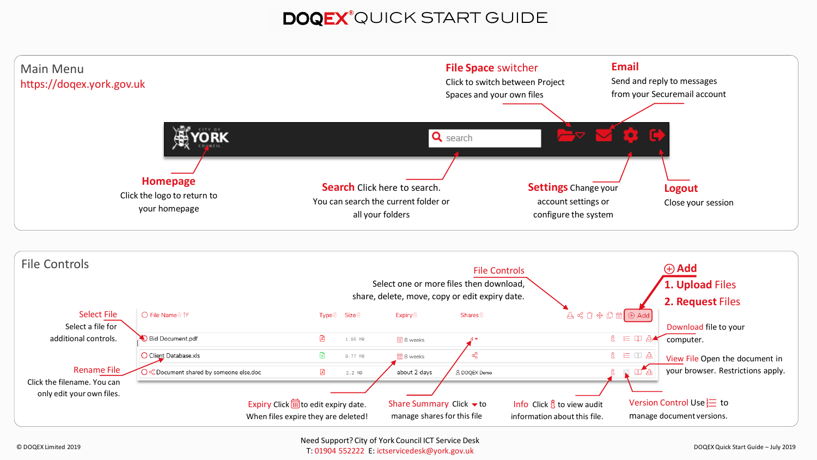# DOQEX<sup>®</sup>QUICK START GUIDE

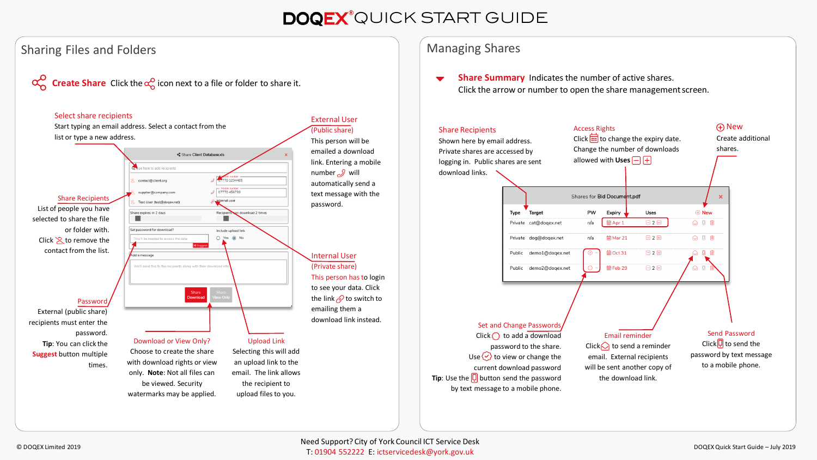## DOQEX<sup>®</sup>QUICK START GUIDE

### Sharing Files and Folders





### Managing Shares

Click the arrow or number to open the share management screen.



Shown here by email address. Private shares are accessed by Access Rights Click  $\frac{1}{\cdots}$  to change the expiry date. Change the number of downloads



shares.

Create additional